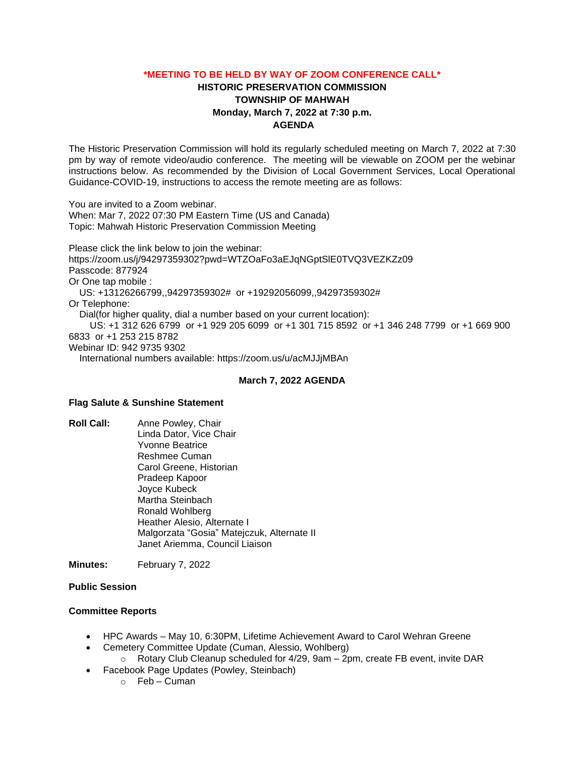### **\*MEETING TO BE HELD BY WAY OF ZOOM CONFERENCE CALL\***

# **HISTORIC PRESERVATION COMMISSION TOWNSHIP OF MAHWAH Monday, March 7, 2022 at 7:30 p.m. AGENDA**

The Historic Preservation Commission will hold its regularly scheduled meeting on March 7, 2022 at 7:30 pm by way of remote video/audio conference. The meeting will be viewable on ZOOM per the webinar instructions below. As recommended by the Division of Local Government Services, Local Operational Guidance-COVID-19, instructions to access the remote meeting are as follows:

You are invited to a Zoom webinar. When: Mar 7, 2022 07:30 PM Eastern Time (US and Canada) Topic: Mahwah Historic Preservation Commission Meeting

Please click the link below to join the webinar: https://zoom.us/j/94297359302?pwd=WTZOaFo3aEJqNGptSlE0TVQ3VEZKZz09 Passcode: 877924 Or One tap mobile : US: +13126266799,,94297359302# or +19292056099,,94297359302# Or Telephone: Dial(for higher quality, dial a number based on your current location): US: +1 312 626 6799 or +1 929 205 6099 or +1 301 715 8592 or +1 346 248 7799 or +1 669 900 6833 or +1 253 215 8782 Webinar ID: 942 9735 9302 International numbers available: https://zoom.us/u/acMJJjMBAn

#### **March 7, 2022 AGENDA**

### **Flag Salute & Sunshine Statement**

**Roll Call:** Anne Powley, Chair Linda Dator, Vice Chair Yvonne Beatrice Reshmee Cuman Carol Greene, Historian Pradeep Kapoor Joyce Kubeck Martha Steinbach Ronald Wohlberg Heather Alesio, Alternate I Malgorzata "Gosia" Matejczuk, Alternate II Janet Ariemma, Council Liaison

**Minutes:** February 7, 2022

### **Public Session**

### **Committee Reports**

- HPC Awards May 10, 6:30PM, Lifetime Achievement Award to Carol Wehran Greene
- Cemetery Committee Update (Cuman, Alessio, Wohlberg)  $\circ$  Rotary Club Cleanup scheduled for 4/29, 9am – 2pm, create FB event, invite DAR
- Facebook Page Updates (Powley, Steinbach)
	- $\circ$  Feb Cuman